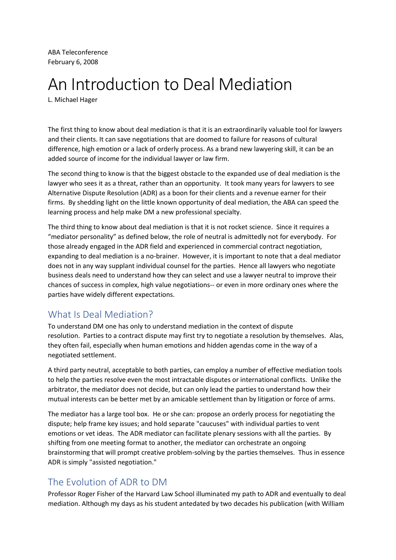ABA Teleconference February 6, 2008

## An Introduction to Deal Mediation

L. Michael Hager

The first thing to know about deal mediation is that it is an extraordinarily valuable tool for lawyers and their clients. It can save negotiations that are doomed to failure for reasons of cultural difference, high emotion or a lack of orderly process. As a brand new lawyering skill, it can be an added source of income for the individual lawyer or law firm.

The second thing to know is that the biggest obstacle to the expanded use of deal mediation is the lawyer who sees it as a threat, rather than an opportunity. It took many years for lawyers to see Alternative Dispute Resolution (ADR) as a boon for their clients and a revenue earner for their firms. By shedding light on the little known opportunity of deal mediation, the ABA can speed the learning process and help make DM a new professional specialty.

The third thing to know about deal mediation is that it is not rocket science. Since it requires a "mediator personality" as defined below, the role of neutral is admittedly not for everybody. For those already engaged in the ADR field and experienced in commercial contract negotiation, expanding to deal mediation is a no-brainer. However, it is important to note that a deal mediator does not in any way supplant individual counsel for the parties. Hence all lawyers who negotiate business deals need to understand how they can select and use a lawyer neutral to improve their chances of success in complex, high value negotiations-- or even in more ordinary ones where the parties have widely different expectations.

## What Is Deal Mediation?

To understand DM one has only to understand mediation in the context of dispute resolution. Parties to a contract dispute may first try to negotiate a resolution by themselves. Alas, they often fail, especially when human emotions and hidden agendas come in the way of a negotiated settlement.

A third party neutral, acceptable to both parties, can employ a number of effective mediation tools to help the parties resolve even the most intractable disputes or international conflicts. Unlike the arbitrator, the mediator does not decide, but can only lead the parties to understand how their mutual interests can be better met by an amicable settlement than by litigation or force of arms.

The mediator has a large tool box. He or she can: propose an orderly process for negotiating the dispute; help frame key issues; and hold separate "caucuses" with individual parties to vent emotions or vet ideas. The ADR mediator can facilitate plenary sessions with all the parties. By shifting from one meeting format to another, the mediator can orchestrate an ongoing brainstorming that will prompt creative problem-solving by the parties themselves. Thus in essence ADR is simply "assisted negotiation."

## The Evolution of ADR to DM

Professor Roger Fisher of the Harvard Law School illuminated my path to ADR and eventually to deal mediation. Although my days as his student antedated by two decades his publication (with William